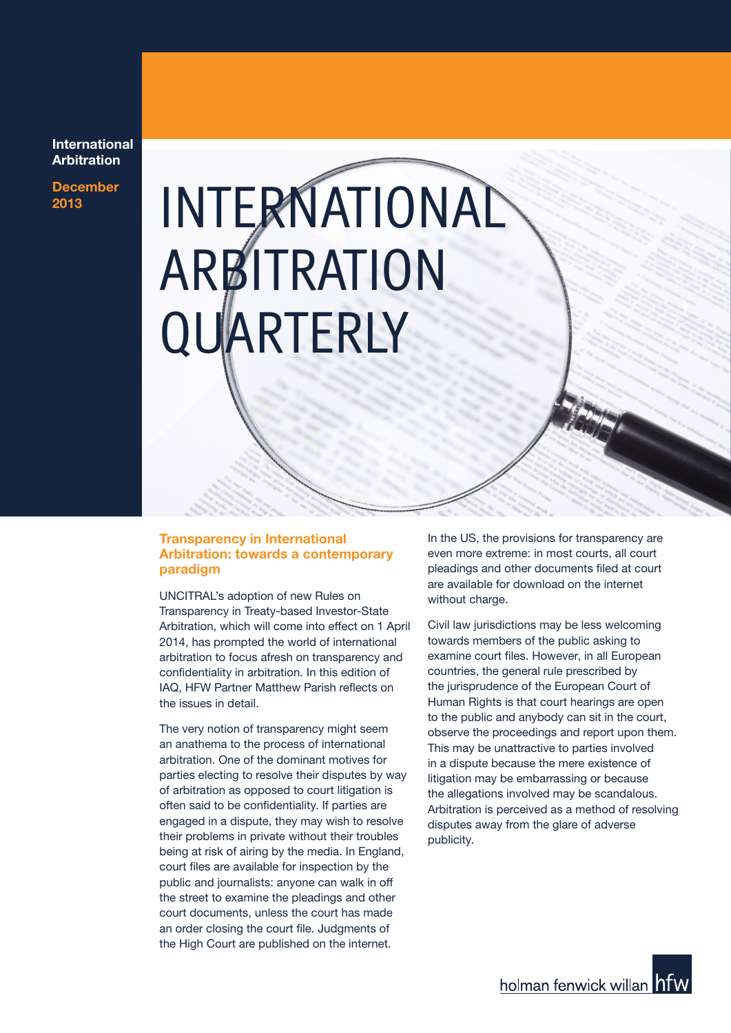## International **Arbitration**

December 2013

# INTERNATIONAL ARBITRATION **QUARTERLY**

# Transparency in International Arbitration: towards a contemporary paradigm

UNCITRAL's adoption of new Rules on Transparency in Treaty-based Investor-State Arbitration, which will come into effect on 1 April 2014, has prompted the world of international arbitration to focus afresh on transparency and confidentiality in arbitration. In this edition of IAQ, HFW Partner Matthew Parish reflects on the issues in detail.

The very notion of transparency might seem an anathema to the process of international arbitration. One of the dominant motives for parties electing to resolve their disputes by way of arbitration as opposed to court litigation is often said to be confidentiality. If parties are engaged in a dispute, they may wish to resolve their problems in private without their troubles being at risk of airing by the media. In England, court files are available for inspection by the public and journalists: anyone can walk in off the street to examine the pleadings and other court documents, unless the court has made an order closing the court file. Judgments of the High Court are published on the internet.

In the US, the provisions for transparency are even more extreme: in most courts, all court pleadings and other documents filed at court are available for download on the internet without charge.

Civil law jurisdictions may be less welcoming towards members of the public asking to examine court files. However, in all European countries, the general rule prescribed by the jurisprudence of the European Court of Human Rights is that court hearings are open to the public and anybody can sit in the court, observe the proceedings and report upon them. This may be unattractive to parties involved in a dispute because the mere existence of litigation may be embarrassing or because the allegations involved may be scandalous. Arbitration is perceived as a method of resolving disputes away from the glare of adverse publicity.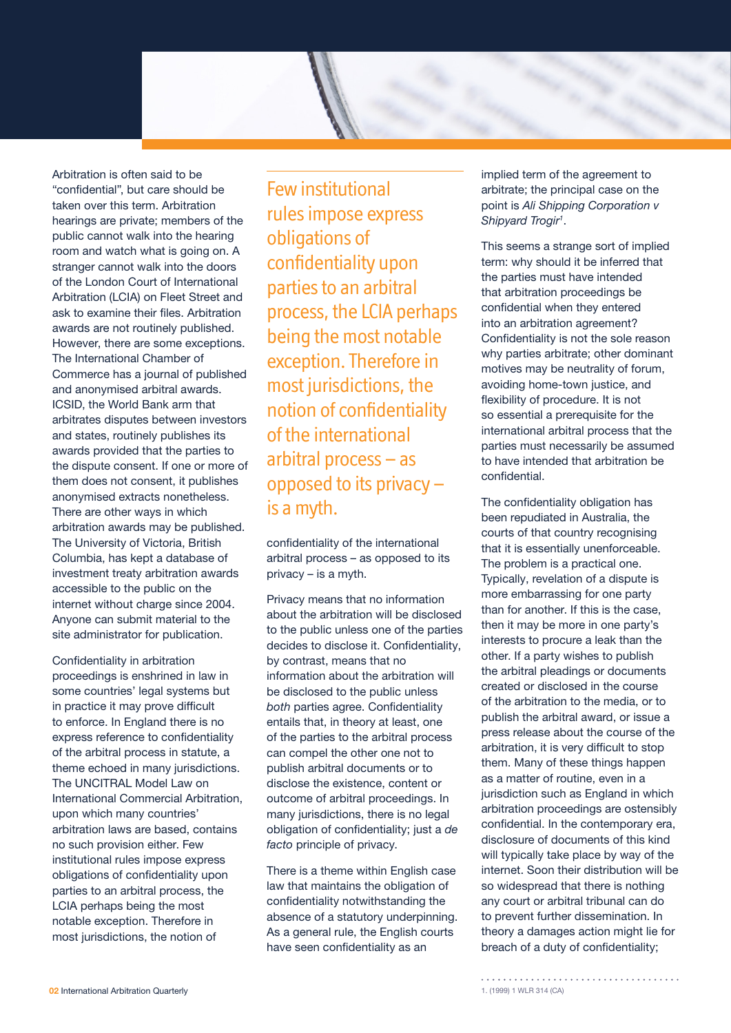

Arbitration is often said to be "confidential", but care should be taken over this term. Arbitration hearings are private; members of the public cannot walk into the hearing room and watch what is going on. A stranger cannot walk into the doors of the London Court of International Arbitration (LCIA) on Fleet Street and ask to examine their files. Arbitration awards are not routinely published. However, there are some exceptions. The International Chamber of Commerce has a journal of published and anonymised arbitral awards. ICSID, the World Bank arm that arbitrates disputes between investors and states, routinely publishes its awards provided that the parties to the dispute consent. If one or more of them does not consent, it publishes anonymised extracts nonetheless. There are other ways in which arbitration awards may be published. The University of Victoria, British Columbia, has kept a database of investment treaty arbitration awards accessible to the public on the internet without charge since 2004. Anyone can submit material to the site administrator for publication.

Confidentiality in arbitration proceedings is enshrined in law in some countries' legal systems but in practice it may prove difficult to enforce. In England there is no express reference to confidentiality of the arbitral process in statute, a theme echoed in many jurisdictions. The UNCITRAL Model Law on International Commercial Arbitration, upon which many countries' arbitration laws are based, contains no such provision either. Few institutional rules impose express obligations of confidentiality upon parties to an arbitral process, the LCIA perhaps being the most notable exception. Therefore in most jurisdictions, the notion of

Few institutional rules impose express obligations of confidentiality upon parties to an arbitral process, the LCIA perhaps being the most notable exception. Therefore in most jurisdictions, the notion of confidentiality of the international arbitral process – as opposed to its privacy – is a myth.

confidentiality of the international arbitral process – as opposed to its privacy – is a myth.

Privacy means that no information about the arbitration will be disclosed to the public unless one of the parties decides to disclose it. Confidentiality, by contrast, means that no information about the arbitration will be disclosed to the public unless *both* parties agree. Confidentiality entails that, in theory at least, one of the parties to the arbitral process can compel the other one not to publish arbitral documents or to disclose the existence, content or outcome of arbitral proceedings. In many jurisdictions, there is no legal obligation of confidentiality; just a *de facto* principle of privacy.

There is a theme within English case law that maintains the obligation of confidentiality notwithstanding the absence of a statutory underpinning. As a general rule, the English courts have seen confidentiality as an

implied term of the agreement to arbitrate; the principal case on the point is *Ali Shipping Corporation v Shipyard Trogir1* .

This seems a strange sort of implied term: why should it be inferred that the parties must have intended that arbitration proceedings be confidential when they entered into an arbitration agreement? Confidentiality is not the sole reason why parties arbitrate; other dominant motives may be neutrality of forum, avoiding home-town justice, and flexibility of procedure. It is not so essential a prerequisite for the international arbitral process that the parties must necessarily be assumed to have intended that arbitration be confidential.

The confidentiality obligation has been repudiated in Australia, the courts of that country recognising that it is essentially unenforceable. The problem is a practical one. Typically, revelation of a dispute is more embarrassing for one party than for another. If this is the case, then it may be more in one party's interests to procure a leak than the other. If a party wishes to publish the arbitral pleadings or documents created or disclosed in the course of the arbitration to the media, or to publish the arbitral award, or issue a press release about the course of the arbitration, it is very difficult to stop them. Many of these things happen as a matter of routine, even in a jurisdiction such as England in which arbitration proceedings are ostensibly confidential. In the contemporary era, disclosure of documents of this kind will typically take place by way of the internet. Soon their distribution will be so widespread that there is nothing any court or arbitral tribunal can do to prevent further dissemination. In theory a damages action might lie for breach of a duty of confidentiality;

. . . . . . . . . . . . . . . . . .

. . . . . . . . . . . . . . . .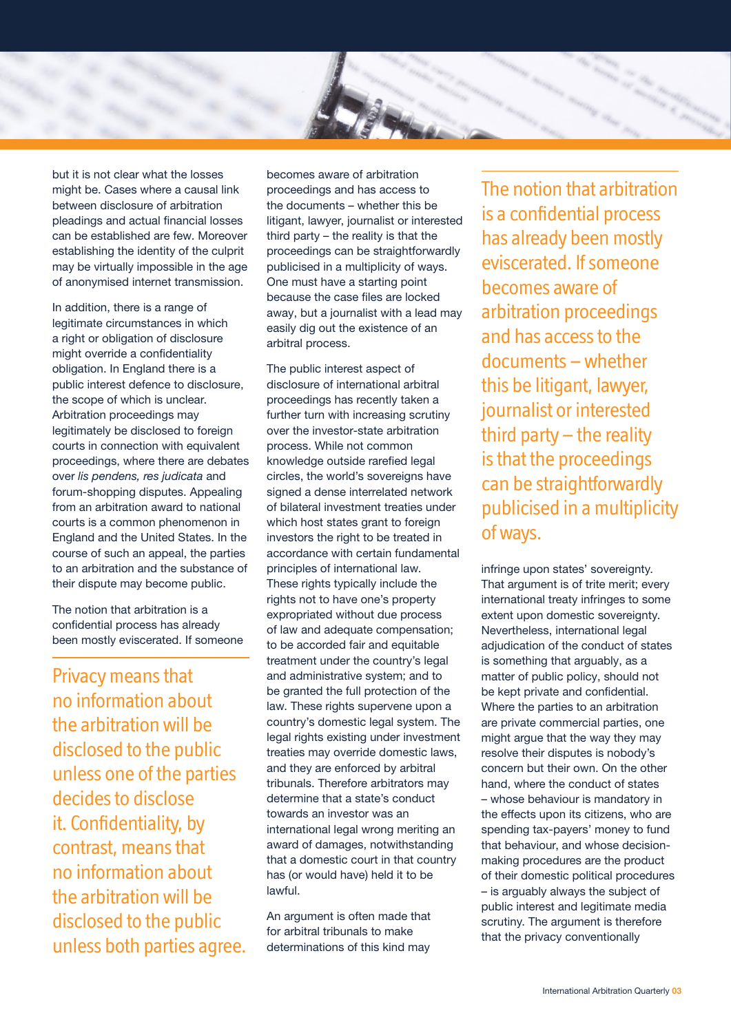but it is not clear what the losses might be. Cases where a causal link between disclosure of arbitration pleadings and actual financial losses can be established are few. Moreover establishing the identity of the culprit may be virtually impossible in the age of anonymised internet transmission.

In addition, there is a range of legitimate circumstances in which a right or obligation of disclosure might override a confidentiality obligation. In England there is a public interest defence to disclosure, the scope of which is unclear. Arbitration proceedings may legitimately be disclosed to foreign courts in connection with equivalent proceedings, where there are debates over *lis pendens, res judicata* and forum-shopping disputes. Appealing from an arbitration award to national courts is a common phenomenon in England and the United States. In the course of such an appeal, the parties to an arbitration and the substance of their dispute may become public.

The notion that arbitration is a confidential process has already been mostly eviscerated. If someone

Privacy means that no information about the arbitration will be disclosed to the public unless one of the parties decides to disclose it. Confidentiality, by contrast, means that no information about the arbitration will be disclosed to the public unless both parties agree.

becomes aware of arbitration proceedings and has access to the documents – whether this be litigant, lawyer, journalist or interested third party – the reality is that the proceedings can be straightforwardly publicised in a multiplicity of ways. One must have a starting point because the case files are locked away, but a journalist with a lead may easily dig out the existence of an arbitral process.

The public interest aspect of disclosure of international arbitral proceedings has recently taken a further turn with increasing scrutiny over the investor-state arbitration process. While not common knowledge outside rarefied legal circles, the world's sovereigns have signed a dense interrelated network of bilateral investment treaties under which host states grant to foreign investors the right to be treated in accordance with certain fundamental principles of international law. These rights typically include the rights not to have one's property expropriated without due process of law and adequate compensation; to be accorded fair and equitable treatment under the country's legal and administrative system; and to be granted the full protection of the law. These rights supervene upon a country's domestic legal system. The legal rights existing under investment treaties may override domestic laws, and they are enforced by arbitral tribunals. Therefore arbitrators may determine that a state's conduct towards an investor was an international legal wrong meriting an award of damages, notwithstanding that a domestic court in that country has (or would have) held it to be lawful.

An argument is often made that for arbitral tribunals to make determinations of this kind may

The notion that arbitration is a confidential process has already been mostly eviscerated. If someone becomes aware of arbitration proceedings and has access to the documents – whether this be litigant, lawyer, journalist or interested third party – the reality is that the proceedings can be straightforwardly publicised in a multiplicity of ways.

infringe upon states' sovereignty. That argument is of trite merit; every international treaty infringes to some extent upon domestic sovereignty. Nevertheless, international legal adjudication of the conduct of states is something that arguably, as a matter of public policy, should not be kept private and confidential. Where the parties to an arbitration are private commercial parties, one might argue that the way they may resolve their disputes is nobody's concern but their own. On the other hand, where the conduct of states – whose behaviour is mandatory in the effects upon its citizens, who are spending tax-payers' money to fund that behaviour, and whose decisionmaking procedures are the product of their domestic political procedures – is arguably always the subject of public interest and legitimate media scrutiny. The argument is therefore that the privacy conventionally